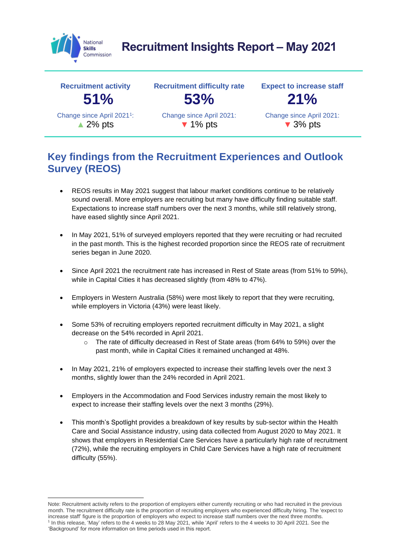

# **Recruitment Insights Report – May 2021**



## **Key findings from the Recruitment Experiences and Outlook Survey (REOS)**

- REOS results in May 2021 suggest that labour market conditions continue to be relatively sound overall. More employers are recruiting but many have difficulty finding suitable staff. Expectations to increase staff numbers over the next 3 months, while still relatively strong, have eased slightly since April 2021.
- In May 2021, 51% of surveyed employers reported that they were recruiting or had recruited in the past month. This is the highest recorded proportion since the REOS rate of recruitment series began in June 2020.
- Since April 2021 the recruitment rate has increased in Rest of State areas (from 51% to 59%), while in Capital Cities it has decreased slightly (from 48% to 47%).
- Employers in Western Australia (58%) were most likely to report that they were recruiting, while employers in Victoria (43%) were least likely.
- Some 53% of recruiting employers reported recruitment difficulty in May 2021, a slight decrease on the 54% recorded in April 2021.
	- o The rate of difficulty decreased in Rest of State areas (from 64% to 59%) over the past month, while in Capital Cities it remained unchanged at 48%.
- In May 2021, 21% of employers expected to increase their staffing levels over the next 3 months, slightly lower than the 24% recorded in April 2021.
- Employers in the Accommodation and Food Services industry remain the most likely to expect to increase their staffing levels over the next 3 months (29%).
- This month's Spotlight provides a breakdown of key results by sub-sector within the Health Care and Social Assistance industry, using data collected from August 2020 to May 2021. It shows that employers in Residential Care Services have a particularly high rate of recruitment (72%), while the recruiting employers in Child Care Services have a high rate of recruitment difficulty (55%).

Note: Recruitment activity refers to the proportion of employers either currently recruiting or who had recruited in the previous month. The recruitment difficulty rate is the proportion of recruiting employers who experienced difficulty hiring. The 'expect to increase staff' figure is the proportion of employers who expect to increase staff numbers over the next three months. 1 In this release, 'May' refers to the 4 weeks to 28 May 2021, while 'April' refers to the 4 weeks to 30 April 2021. See the 'Background' for more information on time periods used in this report.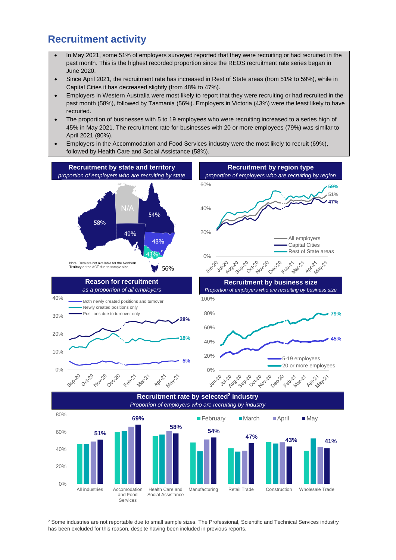#### **Recruitment activity**

- In May 2021, some 51% of employers surveyed reported that they were recruiting or had recruited in the past month. This is the highest recorded proportion since the REOS recruitment rate series began in June 2020.
- Since April 2021, the recruitment rate has increased in Rest of State areas (from 51% to 59%), while in Capital Cities it has decreased slightly (from 48% to 47%).
- Employers in Western Australia were most likely to report that they were recruiting or had recruited in the past month (58%), followed by Tasmania (56%). Employers in Victoria (43%) were the least likely to have recruited.
- The proportion of businesses with 5 to 19 employees who were recruiting increased to a series high of 45% in May 2021. The recruitment rate for businesses with 20 or more employees (79%) was similar to April 2021 (80%).
- Employers in the Accommodation and Food Services industry were the most likely to recruit (69%), followed by Health Care and Social Assistance (58%).



<sup>2</sup> Some industries are not reportable due to small sample sizes. The Professional, Scientific and Technical Services industry has been excluded for this reason, despite having been included in previous reports.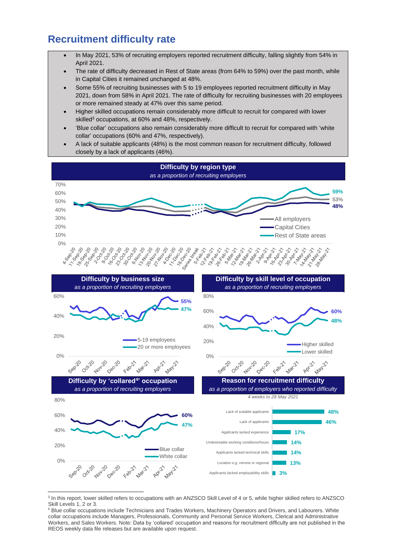### **Recruitment difficulty rate**

- In May 2021, 53% of recruiting employers reported recruitment difficulty, falling slightly from 54% in April 2021.
- The rate of difficulty decreased in Rest of State areas (from 64% to 59%) over the past month, while in Capital Cities it remained unchanged at 48%.
- Some 55% of recruiting businesses with 5 to 19 employees reported recruitment difficulty in May 2021, down from 58% in April 2021. The rate of difficulty for recruiting businesses with 20 employees or more remained steady at 47% over this same period.
- Higher skilled occupations remain considerably more difficult to recruit for compared with lower skilled<sup>3</sup> occupations, at 60% and 48%, respectively.
- 'Blue collar' occupations also remain considerably more difficult to recruit for compared with 'white collar' occupations (60% and 47%, respectively).
- A lack of suitable applicants (48%) is the most common reason for recruitment difficulty, followed closely by a lack of applicants (46%).



<sup>&</sup>lt;sup>3</sup> In this report, lower skilled refers to occupations with an ANZSCO Skill Level of 4 or 5, while higher skilled refers to ANZSCO Skill Levels 1, 2 or 3.

<sup>4</sup> Blue collar occupations include Technicians and Trades Workers, Machinery Operators and Drivers, and Labourers. White collar occupations include Managers, Professionals, Community and Personal Service Workers, Clerical and Administrative Workers, and Sales Workers. Note: Data by 'collared' occupation and reasons for recruitment difficulty are not published in the REOS weekly data file releases but are available upon request.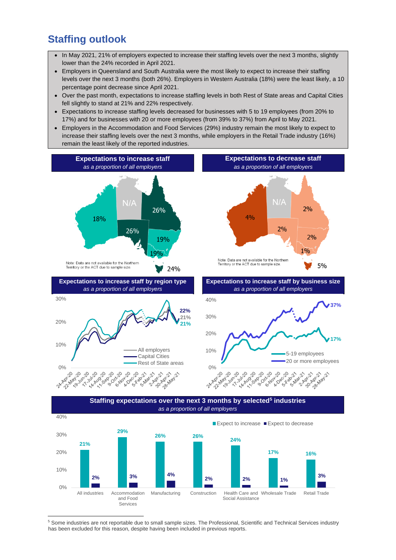### **Staffing outlook**

- In May 2021, 21% of employers expected to increase their staffing levels over the next 3 months, slightly lower than the 24% recorded in April 2021.
- Employers in Queensland and South Australia were the most likely to expect to increase their staffing levels over the next 3 months (both 26%). Employers in Western Australia (18%) were the least likely, a 10 percentage point decrease since April 2021.
- Over the past month, expectations to increase staffing levels in both Rest of State areas and Capital Cities fell slightly to stand at 21% and 22% respectively.
- Expectations to increase staffing levels decreased for businesses with 5 to 19 employees (from 20% to 17%) and for businesses with 20 or more employees (from 39% to 37%) from April to May 2021.
- Employers in the Accommodation and Food Services (29%) industry remain the most likely to expect to increase their staffing levels over the next 3 months, while employers in the Retail Trade industry (16%) remain the least likely of the reported industries.



<sup>5</sup> Some industries are not reportable due to small sample sizes. The Professional, Scientific and Technical Services industry has been excluded for this reason, despite having been included in previous reports.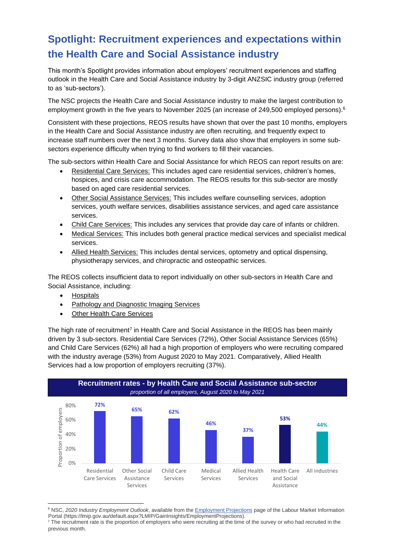## **Spotlight: Recruitment experiences and expectations within the Health Care and Social Assistance industry**

This month's Spotlight provides information about employers' recruitment experiences and staffing outlook in the Health Care and Social Assistance industry by 3-digit ANZSIC industry group (referred to as 'sub-sectors').

The NSC projects the Health Care and Social Assistance industry to make the largest contribution to employment growth in the five years to November 2025 (an increase of 249,500 employed persons). 6

Consistent with these projections, REOS results have shown that over the past 10 months, employers in the Health Care and Social Assistance industry are often recruiting, and frequently expect to increase staff numbers over the next 3 months. Survey data also show that employers in some subsectors experience difficulty when trying to find workers to fill their vacancies.

The sub-sectors within Health Care and Social Assistance for which REOS can report results on are:

- Residential Care Services: This includes aged care residential services, children's homes, hospices, and crisis care accommodation. The REOS results for this sub-sector are mostly based on aged care residential services.
- Other Social Assistance Services: This includes welfare counselling services, adoption services, youth welfare services, disabilities assistance services, and aged care assistance services.
- Child Care Services: This includes any services that provide day care of infants or children.
- Medical Services: This includes both general practice medical services and specialist medical services.
- Allied Health Services: This includes dental services, optometry and optical dispensing, physiotherapy services, and chiropractic and osteopathic services.

The REOS collects insufficient data to report individually on other sub-sectors in Health Care and Social Assistance, including:

- Hospitals
- Pathology and Diagnostic Imaging Services
- Other Health Care Services

The high rate of recruitment<sup>7</sup> in Health Care and Social Assistance in the REOS has been mainly driven by 3 sub-sectors. Residential Care Services (72%), Other Social Assistance Services (65%) and Child Care Services (62%) all had a high proportion of employers who were recruiting compared with the industry average (53%) from August 2020 to May 2021. Comparatively, Allied Health Services had a low proportion of employers recruiting (37%).



<sup>6</sup> NSC, *2020 Industry Employment Outlook*, available from th[e Employment Projections](https://lmip.gov.au/default.aspx?LMIP/GainInsights/EmploymentProjections) page of the Labour Market Information Portal (https://lmip.gov.au/default.aspx?LMIP/GainInsights/EmploymentProjections).

<sup>&</sup>lt;sup>7</sup> The recruitment rate is the proportion of employers who were recruiting at the time of the survey or who had recruited in the previous month.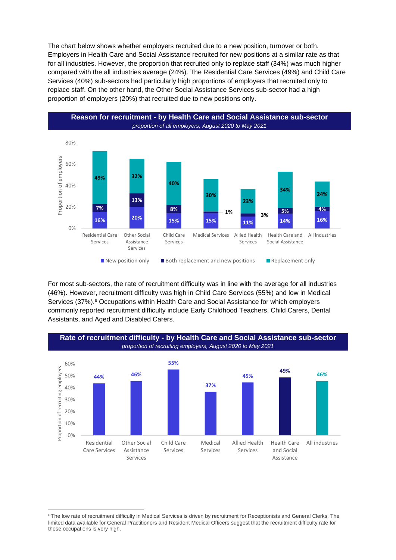The chart below shows whether employers recruited due to a new position, turnover or both. Employers in Health Care and Social Assistance recruited for new positions at a similar rate as that for all industries. However, the proportion that recruited only to replace staff (34%) was much higher compared with the all industries average (24%). The Residential Care Services (49%) and Child Care Services (40%) sub-sectors had particularly high proportions of employers that recruited only to replace staff. On the other hand, the Other Social Assistance Services sub-sector had a high proportion of employers (20%) that recruited due to new positions only.



For most sub-sectors, the rate of recruitment difficulty was in line with the average for all industries (46%). However, recruitment difficulty was high in Child Care Services (55%) and low in Medical Services (37%). <sup>8</sup> Occupations within Health Care and Social Assistance for which employers commonly reported recruitment difficulty include Early Childhood Teachers, Child Carers, Dental Assistants, and Aged and Disabled Carers.



<sup>&</sup>lt;sup>8</sup> The low rate of recruitment difficulty in Medical Services is driven by recruitment for Receptionists and General Clerks. The limited data available for General Practitioners and Resident Medical Officers suggest that the recruitment difficulty rate for these occupations is very high.